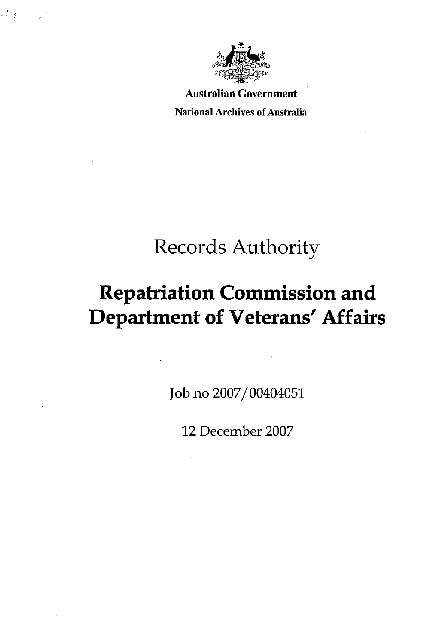

 $\mathbb{E}\left\{ \left\| \mathbf{1}\right\| \leq \left\| \mathbf{1}\right\| \leq \left\| \mathbf{1}\right\| \right\}$ 

Australian Government

National Archives of Australia

# Records Authority

# **Repatriation Commission and Department of Veterans'** Affairs

Job no 2007/00404051

12 December 2007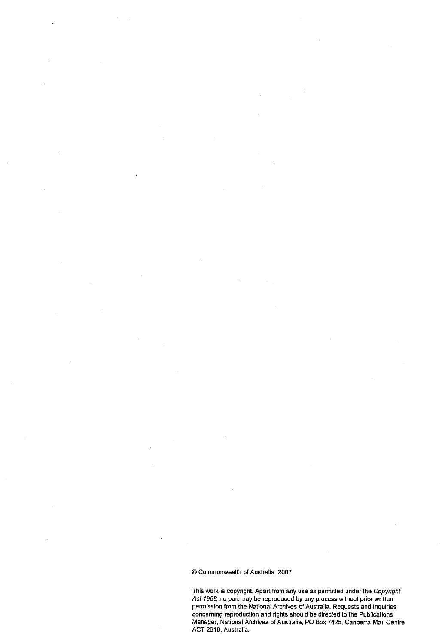### © Commonwealth of Australia 2007

 $\cdot$ 

J.

This work is copyright. Apart from any use as permitted under the Copyright Act 1968 no part may be reproduced by any process without prior written permission from the National Archives of Australia. Requests and inquiries concerning reproduction and rights should be directed to the Publications Manager, National Archives of Australia, PO Box 7425, Canberra Mail Centre ACT 2610, Australia.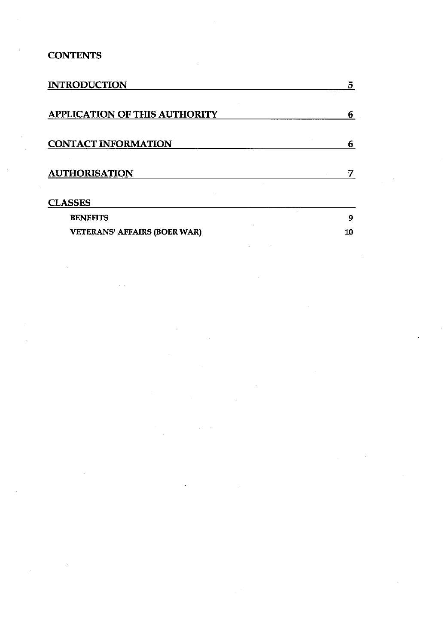### **CONTENTS**

 $\bar{1}$  .

 $\sim$ 

 $\bar{z}$ 

| <b>INTRODUCTION</b>                  | 5  |
|--------------------------------------|----|
| <b>APPLICATION OF THIS AUTHORITY</b> | 6  |
| <b>CONTACT INFORMATION</b>           | 6  |
| <b>AUTHORISATION</b>                 | 7  |
| <b>CLASSES</b>                       |    |
| <b>BENEFITS</b>                      | 9  |
| <b>VETERANS' AFFAIRS (BOER WAR)</b>  | 10 |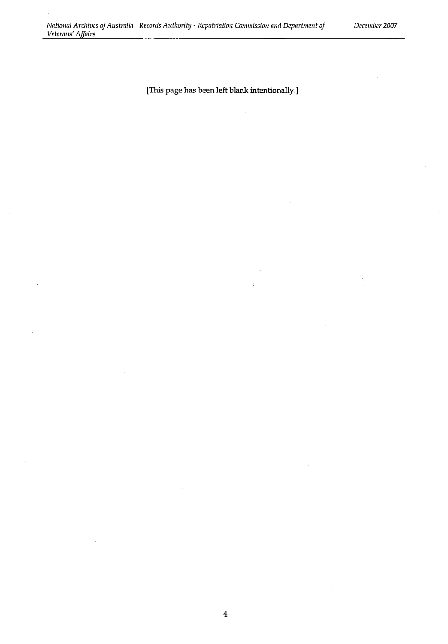[This page has been left blank intentionally.]

 $\hat{\boldsymbol{\beta}}$ 

 $\ddot{\phantom{a}}$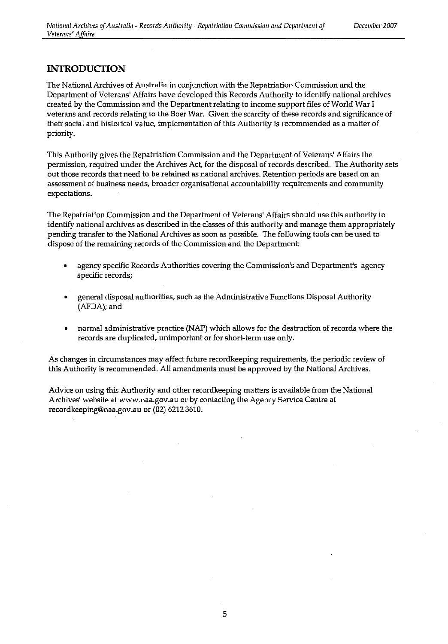### **INTRODUCTION**

The National Archives of Australia in conjunction with the Repatriation Commission and the Department of Veterans' Affairs have developed this Records Authority to identify national archives created by the Commission and the Department relating to income support files of World War I veterans and records relating to the Boer War. Given the scarcity of these records and significance of their social and historical value, implementation of this Authority is recommended as a matter of priority.

This Authority gives the Repatriation Commission and the Department of Veterans' Affairs the permission, required under the Archives Act, for the disposal of records described. The Authority sets out those records that need to be retained as national archives. Retention periods are based on an assessment of business needs, broader organisational accountability requirements and community expectations.

The Repatriation Commission and the Department of Veterans' Affairs should use this authority to identify national archives as described in the classes of this authority and manage them appropriately pending transfer to the National Archives as soon as possible. The following tools can be used to dispose of the remaining records of the Commission and the Department

- agency specific Records Authorities covering the Commission's and Department's agency **specific records;**
- general disposal authorities, such as the Administrative Functions Disposal Authority (AFDA); and
- normal administrative practice (NAP) which allows for the destruction of records where the records are duplicated, unimportant or for short-term use only.

As changes in circumstances may affect future recordkeeping requirements, the periodic review of this Authority is recommended. All amendments must be approved by the National Archives.

Advice on using this Authority and other recordkeeping matters is available from the National Archives' website at www.naa.gov.au or by contacting the Agency Service Centre at recordkeeping@naa.gov.au or (02) 62123610.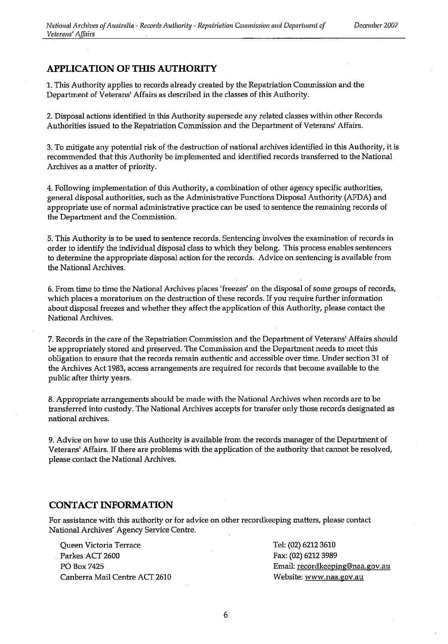### APPLICATION OF THIS AUTHORITY

1. This Authority applies to records already created by the Repatriation Commission and the Department of Veterans' Affairs as described in the classes of this Authority.

2. Disposal actions identified in this Authority supersede any related classes within other Records Authorities issued to the Repatriation Commission and the Department of Veterans' Affairs.

3. To mitigate any potential risk of the destruction of national archives identified in this Authority, it is recommended that this Authority be implemented and identified records transferred to the National Archives as a matter of priority.

4. Following implementation of this Authority, a combination of other agency specific authorities, general disposal authorities, such as the Administrative Functions Disposal Authority (AFDA) and appropriate use of normal administrative practice can be used to sentence the remaining records of the Department and the Commission.

5. This Authority is to be used to sentence records. Sentencing involves the examination of records in order to identify the individual disposal class to which they belong. This process enables sentencers to determine the appropriate disposal action for the records. Advice on sentencing is available from the National Archives.

6. From time to time the National Archives places 'freezes' on the disposal of some groups of records, which places a moratorium on the destruction of these records. If you require further information about disposal freezes and whether they affect the application of this Authority, please contact the National Archives.

7. Records in the care of the Repatriation Commission and the Department of Veterans' Affairs should be appropriately stored and preserved. The Commission and the Department needs to meet this obligation to ensure that the records remain authentic and accessible over time. Under section 31 of the Archives Act 1983, access arrangements are required for records that become available to the public after thirty years.

8. Appropriate arrangements should be made with the National Archives when records are to be transferred into custody. The National Archives accepts for transfer only those records designated as national archives.

9. Advice on how to use this Authority is available from the records manager of the Department of Veterans' Affairs. If there are problems with the application of the authority that cannot be resolved, please contact the National Archives.

#### **CONTACT INFORMATION**

For assistance with this authority or for advice on other recordkeeping matters, please contact National Archives' Agency Service Centre.

**Queen Victoria Terrace** Tel: (02) 62123610 Parkes ACT 2600 Fax: (02) 6212 3989 Canberra Mail Centre ACT 2610 Website: www.naa.gov.au

PO Box 7425 **Email:** recordkeeping@naa.gov.au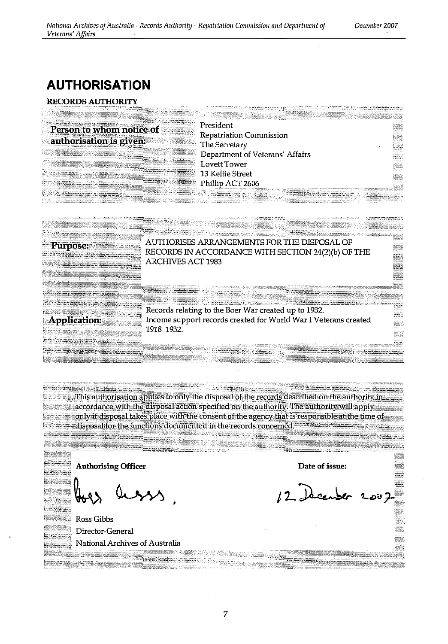## **AUTHORISATION**

### **RECORDS AUTHORITY**





This authorisation applies to only the disposal of the records described on the authority in accordance with the disposal action specified on the authority. The authority will apply only if disposal takes place with the consent of the agency that is responsible at the time of disposal for the functions documented in the records concerned.

**Authorising Officer** 

**Ross Gibbs** Director-General National Archives of Australia

Date of issue:

12 December 2007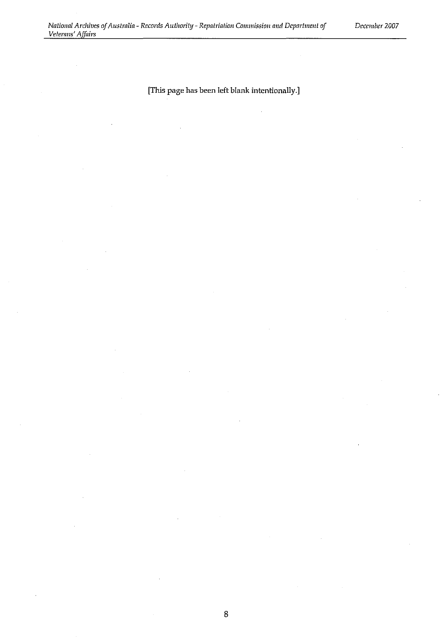[This page has been left blank intentionally.]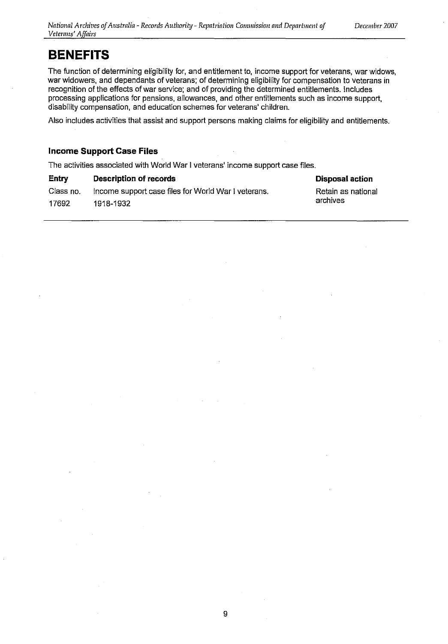### **BENEFITS**

The function of determining eligibility for, and entitlement to, income support for veterans, war widows, war widowers, and dependants of veterans; of determining eligibility for compensation to veterans in recognition of the effects of war service; and of providing the determined entitlements. Includes processing applications for pensions, aliowances, and other entitlements such as income support, disability compensation, and education schemes for veterans' children.

Also includes activities that assist and support persons making claims for eligibility and entitlements.

#### **Income Support Case Files**

The activities associated with World War I veterans' income support case files.

| Entry     | Description of records                              | <b>Disposal action</b>         |
|-----------|-----------------------------------------------------|--------------------------------|
| Class no. | Income support case files for World War I veterans. | Retain as national<br>archives |
| 17692     | 1918-1932                                           |                                |